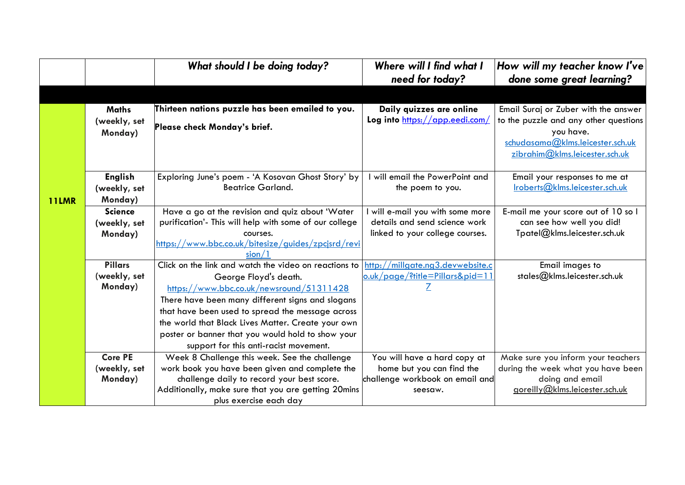|              |                                | What should I be doing today?                                                                   | Where will I find what I                                  | How will my teacher know I've                                            |
|--------------|--------------------------------|-------------------------------------------------------------------------------------------------|-----------------------------------------------------------|--------------------------------------------------------------------------|
|              |                                |                                                                                                 | need for today?                                           | done some great learning?                                                |
|              |                                |                                                                                                 |                                                           |                                                                          |
|              | <b>Maths</b>                   | Thirteen nations puzzle has been emailed to you.                                                | Daily quizzes are online                                  | Email Suraj or Zuber with the answer                                     |
|              | (weekly, set                   | Please check Monday's brief.                                                                    | Log into https://app.eedi.com/                            | to the puzzle and any other questions                                    |
|              | Monday)                        |                                                                                                 |                                                           | you have.                                                                |
|              |                                |                                                                                                 |                                                           | schudasama@klms.leicester.sch.uk<br>zibrahim@klms.leicester.sch.uk       |
|              |                                |                                                                                                 |                                                           |                                                                          |
|              | <b>English</b>                 | Exploring June's poem - 'A Kosovan Ghost Story' by                                              | I will email the PowerPoint and                           | Email your responses to me at                                            |
|              | (weekly, set                   | <b>Beatrice Garland.</b>                                                                        | the poem to you.                                          | Iroberts@klms.leicester.sch.uk                                           |
| <b>11LMR</b> | Monday)                        |                                                                                                 |                                                           |                                                                          |
|              | <b>Science</b>                 | Have a go at the revision and quiz about 'Water                                                 | will e-mail you with some more                            | E-mail me your score out of 10 so I                                      |
|              | (weekly, set                   | purification'- This will help with some of our college                                          | details and send science work                             | can see how well you did!<br>Tpatel@klms.leicester.sch.uk                |
|              | Monday)                        | courses.<br>https://www.bbc.co.uk/bitesize/guides/zpcjsrd/revi                                  | linked to your college courses.                           |                                                                          |
|              |                                | sion/1                                                                                          |                                                           |                                                                          |
|              | <b>Pillars</b>                 | Click on the link and watch the video on reactions to                                           | http://millgate.ng3.devwebsite.c                          | Email images to                                                          |
|              | (weekly, set                   | George Floyd's death.                                                                           | o.uk/page/?title=Pillars&pid=11                           | stales@klms.leicester.sch.uk                                             |
|              | Monday)                        | https://www.bbc.co.uk/newsround/51311428                                                        |                                                           |                                                                          |
|              |                                | There have been many different signs and slogans                                                |                                                           |                                                                          |
|              |                                | that have been used to spread the message across                                                |                                                           |                                                                          |
|              |                                | the world that Black Lives Matter. Create your own                                              |                                                           |                                                                          |
|              |                                | poster or banner that you would hold to show your                                               |                                                           |                                                                          |
|              |                                | support for this anti-racist movement.                                                          |                                                           |                                                                          |
|              | <b>Core PE</b><br>(weekly, set | Week 8 Challenge this week. See the challenge<br>work book you have been given and complete the | You will have a hard copy at<br>home but you can find the | Make sure you inform your teachers<br>during the week what you have been |
|              | Monday)                        | challenge daily to record your best score.                                                      | challenge workbook on email and                           | doing and email                                                          |
|              |                                | Additionally, make sure that you are getting 20mins                                             | seesaw.                                                   | goreilly@klms.leicester.sch.uk                                           |
|              |                                | plus exercise each day                                                                          |                                                           |                                                                          |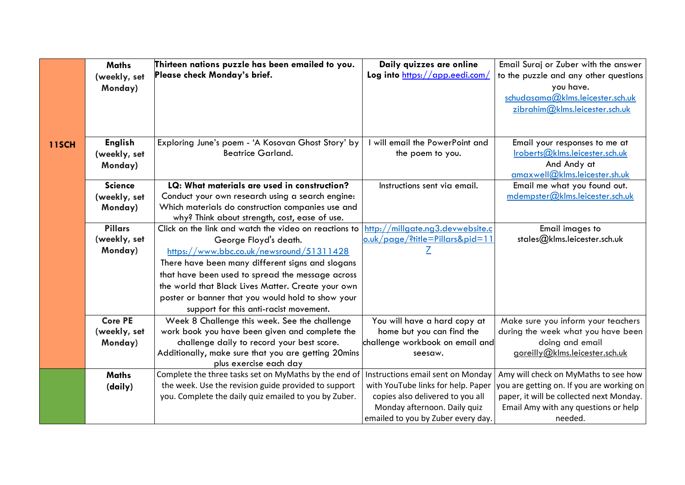|              | <b>Maths</b>   | Thirteen nations puzzle has been emailed to you.                                                   | Daily quizzes are online                   | Email Suraj or Zuber with the answer              |
|--------------|----------------|----------------------------------------------------------------------------------------------------|--------------------------------------------|---------------------------------------------------|
|              | (weekly, set   | Please check Monday's brief.                                                                       | Log into https://app.eedi.com/             | to the puzzle and any other questions             |
|              | Monday)        |                                                                                                    |                                            | you have.                                         |
|              |                |                                                                                                    |                                            | schudasama@klms.leicester.sch.uk                  |
|              |                |                                                                                                    |                                            | zibrahim@klms.leicester.sch.uk                    |
|              |                |                                                                                                    |                                            |                                                   |
|              |                |                                                                                                    |                                            |                                                   |
| <b>11SCH</b> | <b>English</b> | Exploring June's poem - 'A Kosovan Ghost Story' by                                                 | I will email the PowerPoint and            | Email your responses to me at                     |
|              | (weekly, set   | <b>Beatrice Garland.</b>                                                                           | the poem to you.                           | Iroberts@klms.leicester.sch.uk                    |
|              | Monday)        |                                                                                                    |                                            | And Andy at                                       |
|              |                |                                                                                                    |                                            | amaxwell@klms.leicester.sh.uk                     |
|              | <b>Science</b> | LQ: What materials are used in construction?                                                       | Instructions sent via email.               | Email me what you found out.                      |
|              | (weekly, set   | Conduct your own research using a search engine:                                                   |                                            | mdempster@klms.leicester.sch.uk                   |
|              | Monday)        | Which materials do construction companies use and<br>why? Think about strength, cost, ease of use. |                                            |                                                   |
|              | <b>Pillars</b> | Click on the link and watch the video on reactions to                                              | http://millgate.ng3.devwebsite.c           | Email images to                                   |
|              | (weekly, set   | George Floyd's death.                                                                              | <u>o.uk/page/?title=Pillars&amp;pid=11</u> | stales@klms.leicester.sch.uk                      |
|              | Monday)        | https://www.bbc.co.uk/newsround/51311428                                                           |                                            |                                                   |
|              |                |                                                                                                    |                                            |                                                   |
|              |                | There have been many different signs and slogans                                                   |                                            |                                                   |
|              |                | that have been used to spread the message across                                                   |                                            |                                                   |
|              |                | the world that Black Lives Matter. Create your own                                                 |                                            |                                                   |
|              |                | poster or banner that you would hold to show your                                                  |                                            |                                                   |
|              |                | support for this anti-racist movement.                                                             |                                            |                                                   |
|              | <b>Core PE</b> | Week 8 Challenge this week. See the challenge                                                      | You will have a hard copy at               | Make sure you inform your teachers                |
|              | (weekly, set   | work book you have been given and complete the                                                     | home but you can find the                  | during the week what you have been                |
|              | Monday)        | challenge daily to record your best score.                                                         | challenge workbook on email and            | doing and email<br>goreilly@klms.leicester.sch.uk |
|              |                | Additionally, make sure that you are getting 20mins<br>plus exercise each day                      | seesaw.                                    |                                                   |
|              | <b>Maths</b>   | Complete the three tasks set on MyMaths by the end of                                              | Instructions email sent on Monday          | Amy will check on MyMaths to see how              |
|              | (daily)        | the week. Use the revision guide provided to support                                               | with YouTube links for help. Paper         | you are getting on. If you are working on         |
|              |                | you. Complete the daily quiz emailed to you by Zuber.                                              | copies also delivered to you all           | paper, it will be collected next Monday.          |
|              |                |                                                                                                    | Monday afternoon. Daily quiz               | Email Amy with any questions or help              |
|              |                |                                                                                                    | emailed to you by Zuber every day.         | needed.                                           |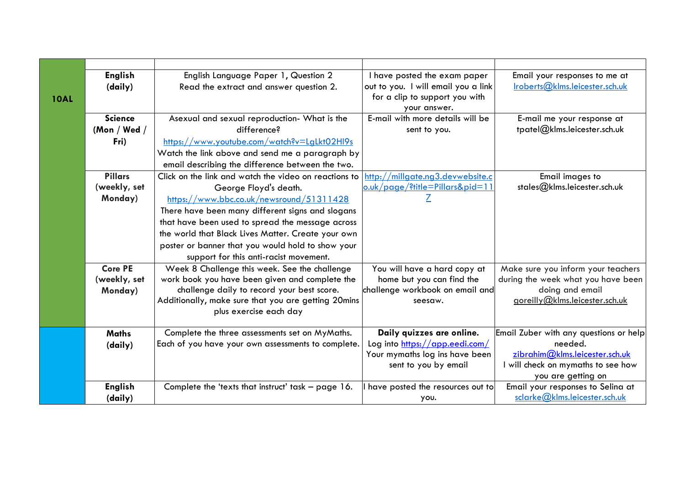|             | <b>English</b> | English Language Paper 1, Question 2                  | I have posted the exam paper        | Email your responses to me at          |
|-------------|----------------|-------------------------------------------------------|-------------------------------------|----------------------------------------|
|             | (daily)        | Read the extract and answer question 2.               | out to you. I will email you a link | Iroberts@klms.leicester.sch.uk         |
| <b>10AL</b> |                |                                                       | for a clip to support you with      |                                        |
|             |                |                                                       | your answer.                        |                                        |
|             | <b>Science</b> | Asexual and sexual reproduction- What is the          | E-mail with more details will be    | E-mail me your response at             |
|             | (Mon / Wed /   | difference?                                           | sent to you.                        | tpatel@klms.leicester.sch.uk           |
|             | Fri)           | https://www.youtube.com/watch?v=LgLkt02Hl9s           |                                     |                                        |
|             |                | Watch the link above and send me a paragraph by       |                                     |                                        |
|             |                | email describing the difference between the two.      |                                     |                                        |
|             | <b>Pillars</b> | Click on the link and watch the video on reactions to | http://millgate.org3.devwebsite.c   | Email images to                        |
|             | (weekly, set   | George Floyd's death.                                 | o.uk/page/?title=Pillars&pid=11     | stales@klms.leicester.sch.uk           |
|             | Monday)        | https://www.bbc.co.uk/newsround/51311428              | Z                                   |                                        |
|             |                | There have been many different signs and slogans      |                                     |                                        |
|             |                | that have been used to spread the message across      |                                     |                                        |
|             |                | the world that Black Lives Matter. Create your own    |                                     |                                        |
|             |                | poster or banner that you would hold to show your     |                                     |                                        |
|             |                | support for this anti-racist movement.                |                                     |                                        |
|             | <b>Core PE</b> | Week 8 Challenge this week. See the challenge         | You will have a hard copy at        | Make sure you inform your teachers     |
|             | (weekly, set   | work book you have been given and complete the        | home but you can find the           | during the week what you have been     |
|             | Monday)        | challenge daily to record your best score.            | challenge workbook on email and     | doing and email                        |
|             |                | Additionally, make sure that you are getting 20mins   | seesaw.                             | goreilly@klms.leicester.sch.uk         |
|             |                | plus exercise each day                                |                                     |                                        |
|             | <b>Maths</b>   | Complete the three assessments set on MyMaths.        | Daily quizzes are online.           | Email Zuber with any questions or help |
|             | (daily)        | Each of you have your own assessments to complete.    | Log into https://app.eedi.com/      | needed.                                |
|             |                |                                                       | Your mymaths log ins have been      | zibrahim@klms.leicester.sch.uk         |
|             |                |                                                       | sent to you by email                | I will check on mymaths to see how     |
|             |                |                                                       |                                     | you are getting on                     |
|             | <b>English</b> | Complete the 'texts that instruct' task - page 16.    | have posted the resources out to    | Email your responses to Selina at      |
|             | (daily)        |                                                       | you.                                | sclarke@klms.leicester.sch.uk          |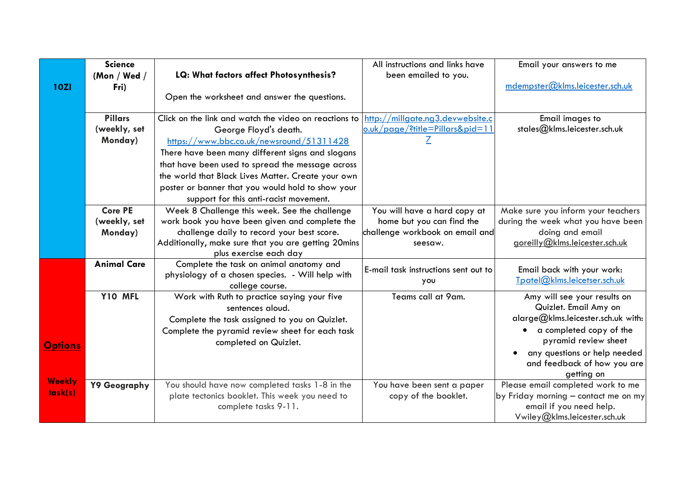|                | <b>Science</b>     |                                                       | All instructions and links have      | Email your answers to me             |
|----------------|--------------------|-------------------------------------------------------|--------------------------------------|--------------------------------------|
|                | (Mon / Wed /       | LQ: What factors affect Photosynthesis?               | been emailed to you.                 |                                      |
| <b>10ZI</b>    | Fri)               |                                                       |                                      | mdempster@klms.leicester.sch.uk      |
|                |                    | Open the worksheet and answer the questions.          |                                      |                                      |
|                |                    |                                                       |                                      |                                      |
|                | <b>Pillars</b>     | Click on the link and watch the video on reactions to | http://millgate.ng3.devwebsite.c     | Email images to                      |
|                | (weekly, set       | George Floyd's death.                                 | o.uk/page/?title=Pillars&pid=11      | stales@klms.leicester.sch.uk         |
|                | Monday)            | https://www.bbc.co.uk/newsround/51311428              |                                      |                                      |
|                |                    | There have been many different signs and slogans      |                                      |                                      |
|                |                    | that have been used to spread the message across      |                                      |                                      |
|                |                    | the world that Black Lives Matter. Create your own    |                                      |                                      |
|                |                    | poster or banner that you would hold to show your     |                                      |                                      |
|                |                    | support for this anti-racist movement.                |                                      |                                      |
|                | <b>Core PE</b>     | Week 8 Challenge this week. See the challenge         | You will have a hard copy at         | Make sure you inform your teachers   |
|                | (weekly, set       | work book you have been given and complete the        | home but you can find the            | during the week what you have been   |
|                | Monday)            | challenge daily to record your best score.            | challenge workbook on email and      | doing and email                      |
|                |                    | Additionally, make sure that you are getting 20mins   | seesaw.                              | goreilly@klms.leicester.sch.uk       |
|                |                    | plus exercise each day                                |                                      |                                      |
|                | <b>Animal Care</b> | Complete the task on animal anatomy and               | E-mail task instructions sent out to | Email back with your work:           |
|                |                    | physiology of a chosen species. - Will help with      | you                                  | Tpatel@klms.leicetser.sch.uk         |
|                |                    | college course.                                       |                                      |                                      |
|                | Y10 MFL            | Work with Ruth to practice saying your five           | Teams call at 9am.                   | Amy will see your results on         |
|                |                    | sentences aloud.                                      |                                      | Quizlet. Email Amy on                |
|                |                    | Complete the task assigned to you on Quizlet.         |                                      | alarge@klms.leicester.sch.uk with:   |
|                |                    | Complete the pyramid review sheet for each task       |                                      | a completed copy of the              |
| <b>Options</b> |                    | completed on Quizlet.                                 |                                      | pyramid review sheet                 |
|                |                    |                                                       |                                      | any questions or help needed         |
|                |                    |                                                       |                                      | and feedback of how you are          |
| <b>Weekly</b>  |                    |                                                       |                                      | getting on                           |
| task(s)        | Y9 Geography       | You should have now completed tasks 1-8 in the        | You have been sent a paper           | Please email completed work to me    |
|                |                    | plate tectonics booklet. This week you need to        | copy of the booklet.                 | by Friday morning - contact me on my |
|                |                    | complete tasks 9-11.                                  |                                      | email if you need help.              |
|                |                    |                                                       |                                      | Vwiley@klms.leicester.sch.uk         |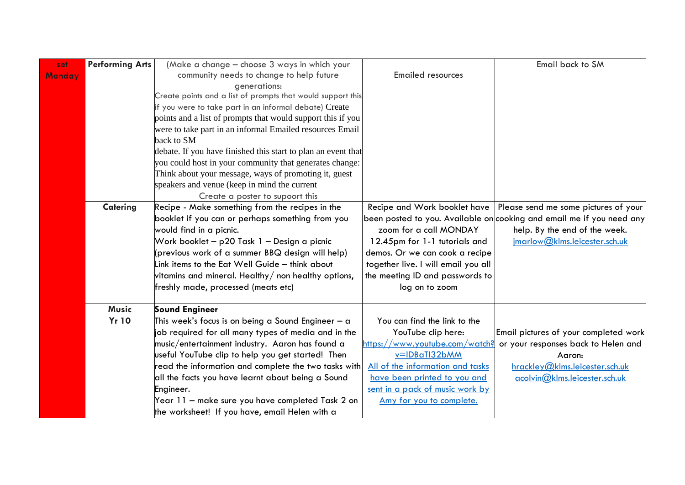| set           | <b>Performing Arts</b> | (Make a change - choose 3 ways in which your                  |                                        | Email back to SM                                                      |
|---------------|------------------------|---------------------------------------------------------------|----------------------------------------|-----------------------------------------------------------------------|
| <b>Monday</b> |                        | community needs to change to help future                      | <b>Emailed resources</b>               |                                                                       |
|               |                        | generations:                                                  |                                        |                                                                       |
|               |                        | Create points and a list of prompts that would support this   |                                        |                                                                       |
|               |                        | if you were to take part in an informal debate) Create        |                                        |                                                                       |
|               |                        | points and a list of prompts that would support this if you   |                                        |                                                                       |
|               |                        | were to take part in an informal Emailed resources Email      |                                        |                                                                       |
|               |                        | back to SM                                                    |                                        |                                                                       |
|               |                        | debate. If you have finished this start to plan an event that |                                        |                                                                       |
|               |                        | you could host in your community that generates change:       |                                        |                                                                       |
|               |                        | Think about your message, ways of promoting it, guest         |                                        |                                                                       |
|               |                        | speakers and venue (keep in mind the current                  |                                        |                                                                       |
|               |                        | Create a poster to supoort this                               |                                        |                                                                       |
|               | <b>Catering</b>        | Recipe - Make something from the recipes in the               |                                        | Recipe and Work booklet have   Please send me some pictures of your   |
|               |                        | booklet if you can or perhaps something from you              |                                        | been posted to you. Available on cooking and email me if you need any |
|               |                        | would find in a picnic.                                       | zoom for a call MONDAY                 | help. By the end of the week.                                         |
|               |                        | Work booklet - p20 Task 1 - Design a picnic                   | 12.45pm for 1-1 tutorials and          | jmarlow@klms.leicester.sch.uk                                         |
|               |                        | (previous work of a summer BBQ design will help)              | demos. Or we can cook a recipe         |                                                                       |
|               |                        | Link items to the Eat Well Guide - think about                | together live. I will email you all    |                                                                       |
|               |                        | vitamins and mineral. Healthy/non healthy options,            | the meeting ID and passwords to        |                                                                       |
|               |                        | freshly made, processed (meats etc)                           | log on to zoom                         |                                                                       |
|               |                        |                                                               |                                        |                                                                       |
|               | <b>Music</b>           | <b>Sound Engineer</b>                                         |                                        |                                                                       |
|               | <b>Yr 10</b>           | This week's focus is on being a Sound Engineer $-$ a          | You can find the link to the           |                                                                       |
|               |                        | job required for all many types of media and in the           | YouTube clip here:                     | Email pictures of your completed work                                 |
|               |                        | music/entertainment industry. Aaron has found a               | <u> https://www.youtube.com/watch?</u> | or your responses back to Helen and                                   |
|               |                        | useful YouTube clip to help you get started! Then             | v=IDBaTI32bMM                          | Aaron:                                                                |
|               |                        | read the information and complete the two tasks with          | All of the information and tasks       | hrackley@klms.leicester.sch.uk                                        |
|               |                        | all the facts you have learnt about being a Sound             | have been printed to you and           | acolvin@klms.leicester.sch.uk                                         |
|               |                        | Engineer.                                                     | sent in a pack of music work by        |                                                                       |
|               |                        | Year 11 - make sure you have completed Task 2 on              | Amy for you to complete.               |                                                                       |
|               |                        | the worksheet! If you have, email Helen with a                |                                        |                                                                       |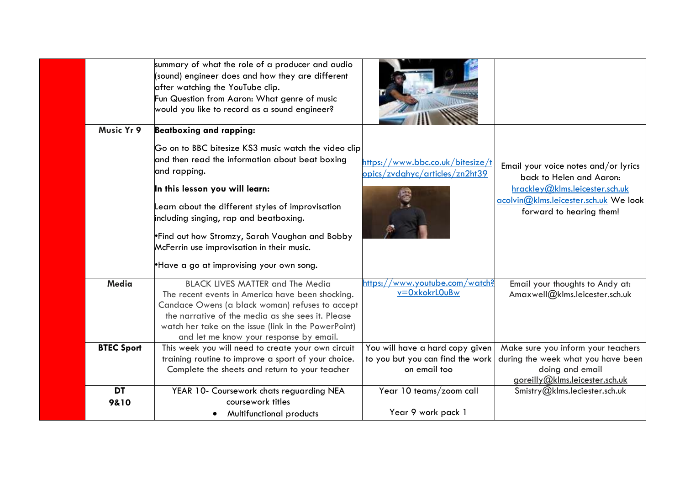| Music Yr 9        | summary of what the role of a producer and audio<br>(sound) engineer does and how they are different<br>after watching the YouTube clip.<br>Fun Question from Aaron: What genre of music<br>would you like to record as a sound engineer?<br><b>Beatboxing and rapping:</b>                                                                                                                                  |                                                                                     |                                                                                                                                                                         |
|-------------------|--------------------------------------------------------------------------------------------------------------------------------------------------------------------------------------------------------------------------------------------------------------------------------------------------------------------------------------------------------------------------------------------------------------|-------------------------------------------------------------------------------------|-------------------------------------------------------------------------------------------------------------------------------------------------------------------------|
|                   | Go on to BBC bitesize KS3 music watch the video clip<br>and then read the information about beat boxing<br>and rapping.<br>In this lesson you will learn:<br>Learn about the different styles of improvisation<br>including singing, rap and beatboxing.<br><b>•Find out how Stromzy, Sarah Vaughan and Bobby</b><br>McFerrin use improvisation in their music.<br>• Have a go at improvising your own song. | https://www.bbc.co.uk/bitesize/t<br><u>opics/zvdghyc/articles/zn2ht39</u>           | Email your voice notes and/or lyrics<br>back to Helen and Aaron:<br>hrackley@klms.leicester.sch.uk<br>acolvin@klms.leicester.sch.uk We look<br>forward to hearing them! |
| Media             | <b>BLACK LIVES MATTER and The Media</b><br>The recent events in America have been shocking.<br>Candace Owens (a black woman) refuses to accept<br>the narrative of the media as she sees it. Please<br>watch her take on the issue (link in the PowerPoint)<br>and let me know your response by email.                                                                                                       | /www.youtube.com/watch?<br>https://n<br>v=0xkokrL0uBw                               | Email your thoughts to Andy at:<br>Amaxwell@klms.leicester.sch.uk                                                                                                       |
| <b>BTEC Sport</b> | This week you will need to create your own circuit<br>training routine to improve a sport of your choice.<br>Complete the sheets and return to your teacher                                                                                                                                                                                                                                                  | You will have a hard copy given<br>to you but you can find the work<br>on email too | Make sure you inform your teachers<br>during the week what you have been<br>doing and email<br>goreilly@klms.leicester.sch.uk                                           |
| <b>DT</b><br>9&10 | YEAR 10- Coursework chats reguarding NEA<br>coursework titles<br>Multifunctional products                                                                                                                                                                                                                                                                                                                    | Year 10 teams/zoom call<br>Year 9 work pack 1                                       | Smistry@klms.leciester.sch.uk                                                                                                                                           |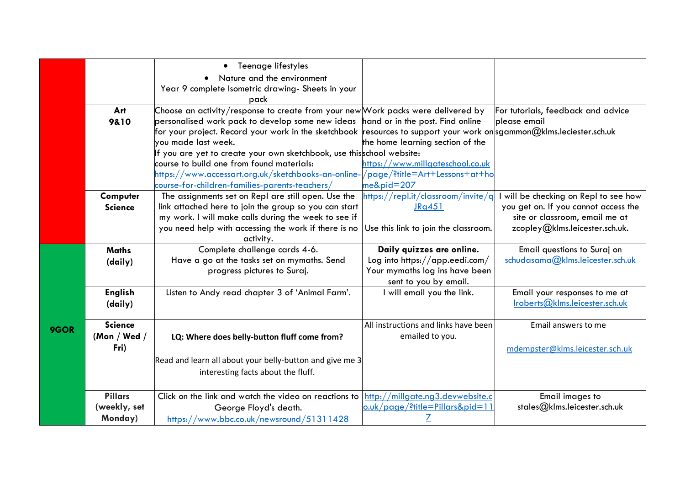|      |                | Teenage lifestyles<br>$\bullet$                                                                                                     |                                      |                                       |
|------|----------------|-------------------------------------------------------------------------------------------------------------------------------------|--------------------------------------|---------------------------------------|
|      |                | Nature and the environment                                                                                                          |                                      |                                       |
|      |                | Year 9 complete Isometric drawing- Sheets in your                                                                                   |                                      |                                       |
|      |                | pack                                                                                                                                |                                      |                                       |
|      | Art            | Choose an activity/response to create from your new Work packs were delivered by                                                    |                                      | For tutorials, feedback and advice    |
|      | 9&10           | personalised work pack to develop some new ideas hand or in the post. Find online                                                   |                                      | please email                          |
|      |                | for your project. Record your work in the sketchbook resources to support your work onsgammon@klms.leciester.sch.uk                 |                                      |                                       |
|      |                | you made last week.                                                                                                                 | the home learning section of the     |                                       |
|      |                | If you are yet to create your own sketchbook, use this school website:                                                              |                                      |                                       |
|      |                | course to build one from found materials:                                                                                           | https://www.millgateschool.co.uk     |                                       |
|      |                | https://www.accessart.org.uk/sketchbooks-an-online-/page/?title=Art+Lessons+at+ho                                                   |                                      |                                       |
|      |                | course-for-children-families-parents-teachers/                                                                                      | me&pid=207                           |                                       |
|      | Computer       | The assignments set on Repl are still open. Use the                                                                                 | https://repl.it/classroom/invite/g   | I will be checking on Repl to see how |
|      | <b>Science</b> | link attached here to join the group so you can start                                                                               | JRq451                               | you get on. If you cannot access the  |
|      |                | my work. I will make calls during the week to see if                                                                                |                                      | site or classroom, email me at        |
|      |                | you need help with accessing the work if there is no                                                                                | Use this link to join the classroom. | zcopley@klms.leicester.sch.uk.        |
|      |                | activity.                                                                                                                           |                                      |                                       |
|      | <b>Maths</b>   | Complete challenge cards 4-6.                                                                                                       | Daily quizzes are online.            | Email questions to Suraj on           |
|      | (daily)        | Have a go at the tasks set on mymaths. Send                                                                                         | Log into https://app.eedi.com/       | schudasama@klms.leicester.sch.uk      |
|      |                | progress pictures to Suraj.                                                                                                         | Your mymaths log ins have been       |                                       |
|      |                |                                                                                                                                     | sent to you by email.                |                                       |
|      | <b>English</b> | Listen to Andy read chapter 3 of 'Animal Farm'.                                                                                     | will email you the link.             | Email your responses to me at         |
|      | (daily)        |                                                                                                                                     |                                      | Iroberts@klms.leicester.sch.uk        |
|      |                |                                                                                                                                     |                                      |                                       |
| 9GOR | <b>Science</b> |                                                                                                                                     | All instructions and links have been | Email answers to me                   |
|      | (Mon / Wed /   | LQ: Where does belly-button fluff come from?                                                                                        | emailed to you.                      |                                       |
|      | Fri)           |                                                                                                                                     |                                      | mdempster@klms.leicester.sch.uk       |
|      |                | Read and learn all about your belly-button and give me 3                                                                            |                                      |                                       |
|      |                | interesting facts about the fluff.                                                                                                  |                                      |                                       |
|      |                |                                                                                                                                     |                                      |                                       |
|      | <b>Pillars</b> | Click on the link and watch the video on reactions to $\frac{http://millgate.org3.devwebsite.c}{http://millgate.org3.devwebsite.c}$ |                                      | Email images to                       |
|      | (weekly, set   | George Floyd's death.                                                                                                               | o.uk/page/?title=Pillars&pid=11      | stales@klms.leicester.sch.uk          |
|      | Monday)        | https://www.bbc.co.uk/newsround/51311428                                                                                            |                                      |                                       |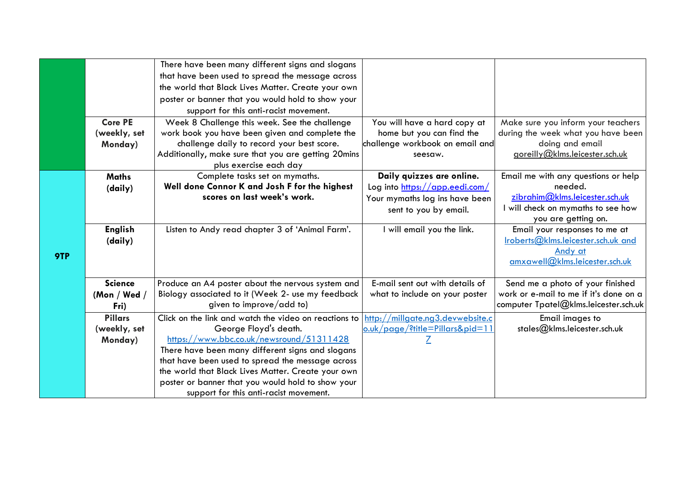|     |                | There have been many different signs and slogans      |                                  |                                           |
|-----|----------------|-------------------------------------------------------|----------------------------------|-------------------------------------------|
|     |                | that have been used to spread the message across      |                                  |                                           |
|     |                | the world that Black Lives Matter. Create your own    |                                  |                                           |
|     |                | poster or banner that you would hold to show your     |                                  |                                           |
|     |                | support for this anti-racist movement.                |                                  |                                           |
|     | <b>Core PE</b> | Week 8 Challenge this week. See the challenge         | You will have a hard copy at     | Make sure you inform your teachers        |
|     | (weekly, set   | work book you have been given and complete the        | home but you can find the        | during the week what you have been        |
|     | Monday)        | challenge daily to record your best score.            | challenge workbook on email and  | doing and email                           |
|     |                | Additionally, make sure that you are getting 20mins   | seesaw.                          | goreilly@klms.leicester.sch.uk            |
|     |                | plus exercise each day                                |                                  |                                           |
|     | <b>Maths</b>   | Complete tasks set on mymaths.                        | Daily quizzes are online.        | Email me with any questions or help       |
|     | (daily)        | Well done Connor K and Josh F for the highest         | Log into https://app.eedi.com/   | needed.                                   |
|     |                | scores on last week's work.                           | Your mymaths log ins have been   | zibrahim@klms.leicester.sch.uk            |
|     |                |                                                       | sent to you by email.            | I will check on mymaths to see how        |
|     |                |                                                       |                                  | you are getting on.                       |
|     | <b>English</b> | Listen to Andy read chapter 3 of 'Animal Farm'.       | will email you the link.         | Email your responses to me at             |
|     | (daily)        |                                                       |                                  | Iroberts@klms.leicester.sch.uk and        |
| 9TP |                |                                                       |                                  | Andy at<br>amxawell@klms.leicester.sch.uk |
|     |                |                                                       |                                  |                                           |
|     | <b>Science</b> | Produce an A4 poster about the nervous system and     | E-mail sent out with details of  | Send me a photo of your finished          |
|     | (Mon / Wed $/$ | Biology associated to it (Week 2- use my feedback     | what to include on your poster   | work or e-mail to me if it's done on a    |
|     | Fri)           | given to improve/add to)                              |                                  | computer Tpatel@klms.leicester.sch.uk     |
|     | <b>Pillars</b> | Click on the link and watch the video on reactions to | http://millgate.ng3.devwebsite.c | Email images to                           |
|     | (weekly, set   | George Floyd's death.                                 | o.uk/page/?title=Pillars&pid=11  | stales@klms.leicester.sch.uk              |
|     | Monday)        | https://www.bbc.co.uk/newsround/51311428              |                                  |                                           |
|     |                | There have been many different signs and slogans      |                                  |                                           |
|     |                | that have been used to spread the message across      |                                  |                                           |
|     |                | the world that Black Lives Matter. Create your own    |                                  |                                           |
|     |                | poster or banner that you would hold to show your     |                                  |                                           |
|     |                | support for this anti-racist movement.                |                                  |                                           |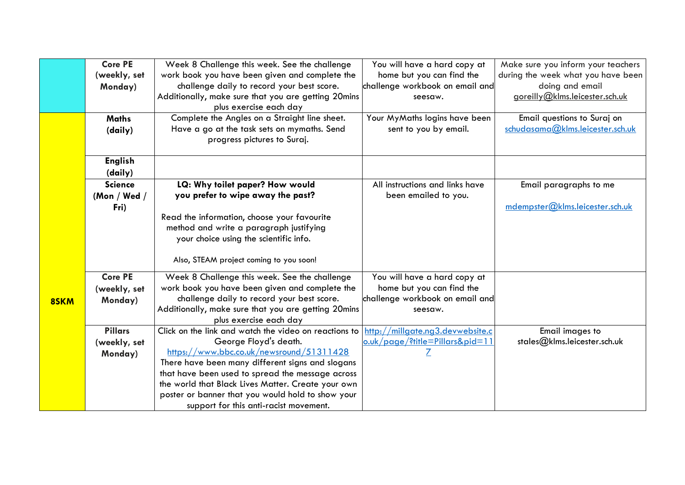|      | <b>Core PE</b> | Week 8 Challenge this week. See the challenge                                                        | You will have a hard copy at     | Make sure you inform your teachers |
|------|----------------|------------------------------------------------------------------------------------------------------|----------------------------------|------------------------------------|
|      | (weekly, set   | work book you have been given and complete the                                                       | home but you can find the        | during the week what you have been |
|      | Monday)        | challenge daily to record your best score.                                                           | challenge workbook on email and  | doing and email                    |
|      |                | Additionally, make sure that you are getting 20mins                                                  | seesaw.                          | goreilly@klms.leicester.sch.uk     |
|      |                | plus exercise each day                                                                               |                                  |                                    |
|      | <b>Maths</b>   | Complete the Angles on a Straight line sheet.                                                        | Your MyMaths logins have been    | Email questions to Suraj on        |
|      | (daily)        | Have a go at the task sets on mymaths. Send                                                          | sent to you by email.            | schudasama@klms.leicester.sch.uk   |
|      |                | progress pictures to Suraj.                                                                          |                                  |                                    |
|      | <b>English</b> |                                                                                                      |                                  |                                    |
|      | (daily)        |                                                                                                      |                                  |                                    |
|      | <b>Science</b> | LQ: Why toilet paper? How would                                                                      | All instructions and links have  | Email paragraphs to me             |
|      | (Mon / Wed /   | you prefer to wipe away the past?                                                                    | been emailed to you.             |                                    |
|      | Fri)           |                                                                                                      |                                  | mdempster@klms.leicester.sch.uk    |
|      |                | Read the information, choose your favourite                                                          |                                  |                                    |
|      |                | method and write a paragraph justifying                                                              |                                  |                                    |
|      |                | your choice using the scientific info.                                                               |                                  |                                    |
|      |                |                                                                                                      |                                  |                                    |
|      |                | Also, STEAM project coming to you soon!                                                              |                                  |                                    |
|      | <b>Core PE</b> | Week 8 Challenge this week. See the challenge                                                        | You will have a hard copy at     |                                    |
|      | (weekly, set   | work book you have been given and complete the                                                       | home but you can find the        |                                    |
| 8SKM | Monday)        | challenge daily to record your best score.                                                           | challenge workbook on email and  |                                    |
|      |                | Additionally, make sure that you are getting 20mins                                                  | seesaw.                          |                                    |
|      |                | plus exercise each day                                                                               |                                  |                                    |
|      | <b>Pillars</b> | Click on the link and watch the video on reactions to                                                | http://millgate.ng3.devwebsite.c | Email images to                    |
|      | (weekly, set   | George Floyd's death.                                                                                | o.uk/page/?title=Pillars&pid=11  | stales@klms.leicester.sch.uk       |
|      | Monday)        | https://www.bbc.co.uk/newsround/51311428                                                             | Z                                |                                    |
|      |                | There have been many different signs and slogans<br>that have been used to spread the message across |                                  |                                    |
|      |                | the world that Black Lives Matter. Create your own                                                   |                                  |                                    |
|      |                | poster or banner that you would hold to show your                                                    |                                  |                                    |
|      |                | support for this anti-racist movement.                                                               |                                  |                                    |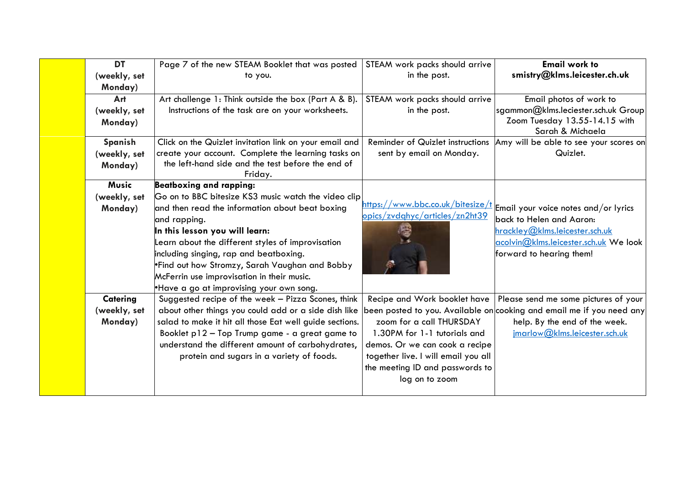| <b>DT</b>    | Page 7 of the new STEAM Booklet that was posted         | STEAM work packs should arrive      | <b>Email work to</b>                                                    |
|--------------|---------------------------------------------------------|-------------------------------------|-------------------------------------------------------------------------|
| (weekly, set | to you.                                                 | in the post.                        | smistry@klms.leicester.ch.uk                                            |
| Monday)      |                                                         |                                     |                                                                         |
| <b>Art</b>   | Art challenge 1: Think outside the box (Part A & B).    | STEAM work packs should arrive      | Email photos of work to                                                 |
| (weekly, set | Instructions of the task are on your worksheets.        | in the post.                        | sgammon@klms.leciester.sch.uk Group                                     |
| Monday)      |                                                         |                                     | Zoom Tuesday 13.55-14.15 with                                           |
|              |                                                         |                                     | Sarah & Michaela                                                        |
| Spanish      | Click on the Quizlet invitation link on your email and  |                                     | Reminder of Quizlet instructions Amy will be able to see your scores on |
| (weekly, set | create your account. Complete the learning tasks on     | sent by email on Monday.            | Quizlet.                                                                |
| Monday)      | the left-hand side and the test before the end of       |                                     |                                                                         |
|              | Friday.                                                 |                                     |                                                                         |
| <b>Music</b> | <b>Beatboxing and rapping:</b>                          |                                     |                                                                         |
| (weekly, set | Go on to BBC bitesize KS3 music watch the video clip    |                                     |                                                                         |
| Monday)      | and then read the information about beat boxing         | opics/zvdghyc/articles/zn2ht39      | https://www.bbc.co.uk/bitesize/t Email your voice notes and/or lyrics   |
|              | and rapping.                                            |                                     | back to Helen and Aaron:                                                |
|              | In this lesson you will learn:                          |                                     | hrackley@klms.leicester.sch.uk                                          |
|              | Learn about the different styles of improvisation       |                                     | acolvin@klms.leicester.sch.uk We look                                   |
|              | including singing, rap and beatboxing.                  |                                     | forward to hearing them!                                                |
|              | <b>•Find out how Stromzy, Sarah Vaughan and Bobby</b>   |                                     |                                                                         |
|              | McFerrin use improvisation in their music.              |                                     |                                                                         |
|              | • Have a go at improvising your own song.               |                                     |                                                                         |
| Catering     | Suggested recipe of the week - Pizza Scones, think      |                                     | Recipe and Work booklet have   Please send me some pictures of your     |
| (weekly, set | about other things you could add or a side dish like    |                                     | been posted to you. Available on cooking and email me if you need any   |
| Monday)      | salad to make it hit all those Eat well guide sections. | zoom for a call THURSDAY            | help. By the end of the week.                                           |
|              | Booklet p12 - Top Trump game - a great game to          | 1.30PM for 1-1 tutorials and        | jmarlow@klms.leicester.sch.uk                                           |
|              | understand the different amount of carbohydrates,       | demos. Or we can cook a recipe      |                                                                         |
|              | protein and sugars in a variety of foods.               | together live. I will email you all |                                                                         |
|              |                                                         | the meeting ID and passwords to     |                                                                         |
|              |                                                         | log on to zoom                      |                                                                         |
|              |                                                         |                                     |                                                                         |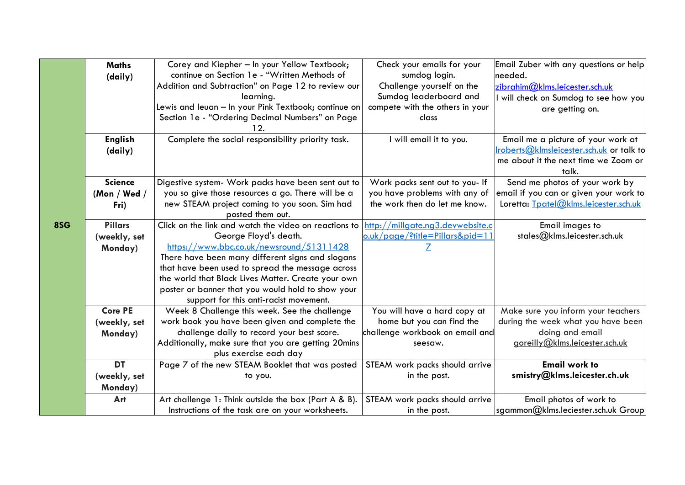|     | <b>Maths</b>   | Corey and Kiepher - In your Yellow Textbook;           | Check your emails for your       | Email Zuber with any questions or help          |
|-----|----------------|--------------------------------------------------------|----------------------------------|-------------------------------------------------|
|     | (daily)        | continue on Section 1e - "Written Methods of           | sumdog login.                    | needed.                                         |
|     |                | Addition and Subtraction" on Page 12 to review our     | Challenge yourself on the        | zibrahim@klms.leicester.sch.uk                  |
|     |                | learning.                                              | Sumdog leaderboard and           | will check on Sumdog to see how you             |
|     |                | Lewis and leuan - In your Pink Textbook; continue on   | compete with the others in your  | are getting on.                                 |
|     |                | Section 1e - "Ordering Decimal Numbers" on Page<br>12. | class                            |                                                 |
|     | <b>English</b> | Complete the social responsibility priority task.      | I will email it to you.          | Email me a picture of your work at              |
|     | (daily)        |                                                        |                                  | <u> roberts@k msleicester.sch.uk</u> or talk to |
|     |                |                                                        |                                  | me about it the next time we Zoom or            |
|     |                |                                                        |                                  | talk.                                           |
|     | <b>Science</b> | Digestive system- Work packs have been sent out to     | Work packs sent out to you- If   | Send me photos of your work by                  |
|     | (Mon / Wed /   | you so give those resources a go. There will be a      | you have problems with any of    | email if you can or given your work to          |
|     | Fri)           | new STEAM project coming to you soon. Sim had          | the work then do let me know.    | Loretta: Tpatel@klms.leicester.sch.uk           |
|     |                | posted them out.                                       |                                  |                                                 |
| 8SG | <b>Pillars</b> | Click on the link and watch the video on reactions to  | http://millgate.ng3.devwebsite.c | Email images to                                 |
|     | (weekly, set   | George Floyd's death.                                  | o.uk/page/?title=Pillars&pid=11  | stales@klms.leicester.sch.uk                    |
|     | Monday)        | https://www.bbc.co.uk/newsround/51311428               | Z                                |                                                 |
|     |                | There have been many different signs and slogans       |                                  |                                                 |
|     |                | that have been used to spread the message across       |                                  |                                                 |
|     |                | the world that Black Lives Matter. Create your own     |                                  |                                                 |
|     |                | poster or banner that you would hold to show your      |                                  |                                                 |
|     |                | support for this anti-racist movement.                 |                                  |                                                 |
|     | <b>Core PE</b> | Week 8 Challenge this week. See the challenge          | You will have a hard copy at     | Make sure you inform your teachers              |
|     | (weekly, set   | work book you have been given and complete the         | home but you can find the        | during the week what you have been              |
|     | Monday)        | challenge daily to record your best score.             | challenge workbook on email and  | doing and email                                 |
|     |                | Additionally, make sure that you are getting 20mins    | seesaw.                          | goreilly@klms.leicester.sch.uk                  |
|     |                | plus exercise each day                                 |                                  |                                                 |
|     | <b>DT</b>      | Page 7 of the new STEAM Booklet that was posted        | STEAM work packs should arrive   | <b>Email work to</b>                            |
|     | (weekly, set   | to you.                                                | in the post.                     | smistry@klms.leicester.ch.uk                    |
|     | Monday)        |                                                        |                                  |                                                 |
|     | Art            | Art challenge 1: Think outside the box (Part A & B).   | STEAM work packs should arrive   | Email photos of work to                         |
|     |                | Instructions of the task are on your worksheets.       | in the post.                     | sgammon@klms.leciester.sch.uk Group             |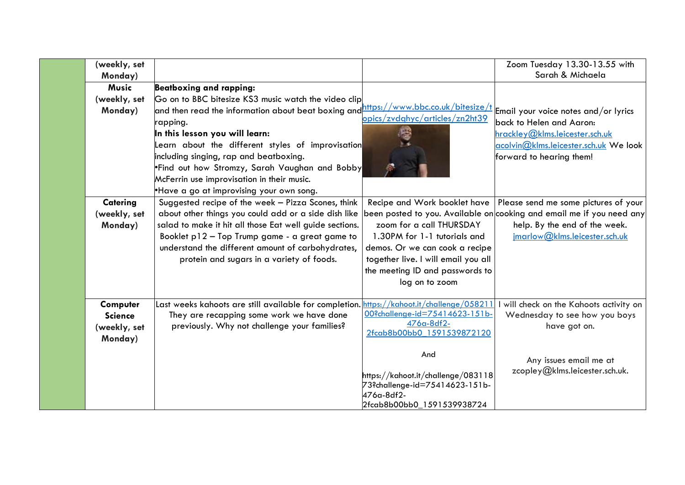| (weekly, set<br>Monday) |                                                                                                                                                                                                           |                                              | Zoom Tuesday 13.30-13.55 with<br>Sarah & Michaela                     |
|-------------------------|-----------------------------------------------------------------------------------------------------------------------------------------------------------------------------------------------------------|----------------------------------------------|-----------------------------------------------------------------------|
| <b>Music</b>            | <b>Beatboxing and rapping:</b>                                                                                                                                                                            |                                              |                                                                       |
| (weekly, set            | Go on to BBC bitesize KS3 music watch the video clip<br>and then read the information about beat boxing and $\frac{\text{https://www.bbc.co.uk/bitesize/t}}{\text{Email your voice notes and/or lysics}}$ |                                              |                                                                       |
| Monday)                 | rapping.                                                                                                                                                                                                  | opics/zvdghyc/articles/zn2ht39               | back to Helen and Aaron:                                              |
|                         | In this lesson you will learn:                                                                                                                                                                            |                                              | hrackley@klms.leicester.sch.uk                                        |
|                         | Learn about the different styles of improvisation                                                                                                                                                         |                                              | acolvin@klms.leicester.sch.uk We look                                 |
|                         | including singing, rap and beatboxing.                                                                                                                                                                    |                                              | forward to hearing them!                                              |
|                         | .Find out how Stromzy, Sarah Vaughan and Bobby                                                                                                                                                            |                                              |                                                                       |
|                         | McFerrin use improvisation in their music.                                                                                                                                                                |                                              |                                                                       |
|                         | .Have a go at improvising your own song.                                                                                                                                                                  |                                              |                                                                       |
| Catering                | Suggested recipe of the week - Pizza Scones, think                                                                                                                                                        |                                              | Recipe and Work booklet have   Please send me some pictures of your   |
| (weekly, set            | about other things you could add or a side dish like                                                                                                                                                      |                                              | been posted to you. Available on cooking and email me if you need any |
| Monday)                 | salad to make it hit all those Eat well guide sections.                                                                                                                                                   | zoom for a call THURSDAY                     | help. By the end of the week.                                         |
|                         | Booklet p12 - Top Trump game - a great game to                                                                                                                                                            | 1.30PM for 1-1 tutorials and                 | $j$ marlow $@$ klms.leicester.sch.uk                                  |
|                         | understand the different amount of carbohydrates,                                                                                                                                                         | demos. Or we can cook a recipe               |                                                                       |
|                         | protein and sugars in a variety of foods.                                                                                                                                                                 | together live. I will email you all          |                                                                       |
|                         |                                                                                                                                                                                                           | the meeting ID and passwords to              |                                                                       |
|                         |                                                                                                                                                                                                           | log on to zoom                               |                                                                       |
|                         |                                                                                                                                                                                                           |                                              |                                                                       |
| Computer                | Last weeks kahoots are still available for completion.                                                                                                                                                    | https://kahoot.it/challenge/058211           | will check on the Kahoots activity on                                 |
| <b>Science</b>          | They are recapping some work we have done                                                                                                                                                                 | 00?challenge-id=75414623-151b-<br>476a-8df2- | Wednesday to see how you boys                                         |
| (weekly, set            | previously. Why not challenge your families?                                                                                                                                                              | 2fcab8b00bb0 1591539872120                   | have got on.                                                          |
| Monday)                 |                                                                                                                                                                                                           |                                              |                                                                       |
|                         |                                                                                                                                                                                                           | And                                          | Any issues email me at                                                |
|                         |                                                                                                                                                                                                           |                                              | zcopley@klms.leicester.sch.uk.                                        |
|                         |                                                                                                                                                                                                           | https://kahoot.it/challenge/083118           |                                                                       |
|                         |                                                                                                                                                                                                           | 73?challenge-id=75414623-151b-<br>476a-8df2- |                                                                       |
|                         |                                                                                                                                                                                                           | 2fcab8b00bb0_1591539938724                   |                                                                       |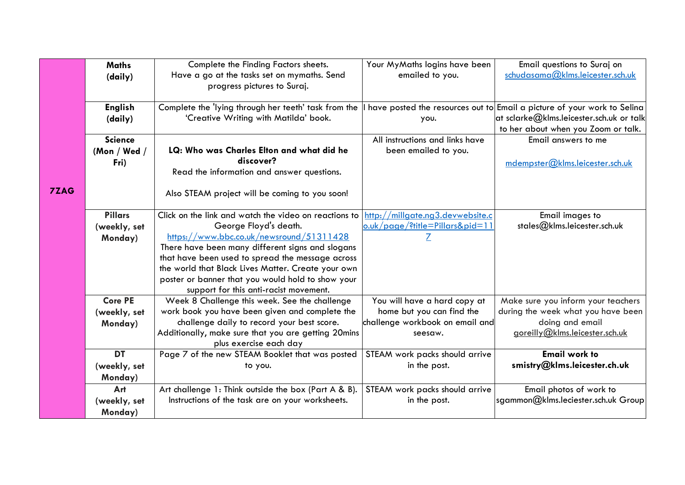|             | <b>Maths</b>         | Complete the Finding Factors sheets.                                                              | Your MyMaths logins have been                           | Email questions to Suraj on                                             |
|-------------|----------------------|---------------------------------------------------------------------------------------------------|---------------------------------------------------------|-------------------------------------------------------------------------|
|             | (daily)              | Have a go at the tasks set on mymaths. Send                                                       | emailed to you.                                         | schudasama@klms.leicester.sch.uk                                        |
|             |                      | progress pictures to Suraj.                                                                       |                                                         |                                                                         |
|             | <b>English</b>       | Complete the 'lying through her teeth' task from the                                              |                                                         | have posted the resources out to Email a picture of your work to Selina |
|             | (daily)              | 'Creative Writing with Matilda' book.                                                             | you.                                                    | at sclarke@klms.leicester.sch.uk or talk                                |
|             |                      |                                                                                                   |                                                         | to her about when you Zoom or talk.                                     |
|             | <b>Science</b>       | LQ: Who was Charles Elton and what did he                                                         | All instructions and links have<br>been emailed to you. | Email answers to me                                                     |
|             | (Mon / Wed /<br>Fri) | discover?                                                                                         |                                                         | mdempster@klms.leicester.sch.uk                                         |
|             |                      | Read the information and answer questions.                                                        |                                                         |                                                                         |
|             |                      |                                                                                                   |                                                         |                                                                         |
| <b>7ZAG</b> |                      | Also STEAM project will be coming to you soon!                                                    |                                                         |                                                                         |
|             |                      |                                                                                                   |                                                         |                                                                         |
|             | <b>Pillars</b>       | Click on the link and watch the video on reactions to                                             | http://millgate.ng3.devwebsite.c                        | <b>Email images to</b>                                                  |
|             | (weekly, set         | George Floyd's death.<br>https://www.bbc.co.uk/newsround/51311428                                 | o.uk/page/?title=Pillars&pid=11                         | stales@klms.leicester.sch.uk                                            |
|             | Monday)              | There have been many different signs and slogans                                                  | Z                                                       |                                                                         |
|             |                      | that have been used to spread the message across                                                  |                                                         |                                                                         |
|             |                      | the world that Black Lives Matter. Create your own                                                |                                                         |                                                                         |
|             |                      | poster or banner that you would hold to show your                                                 |                                                         |                                                                         |
|             |                      | support for this anti-racist movement.                                                            |                                                         |                                                                         |
|             | <b>Core PE</b>       | Week 8 Challenge this week. See the challenge                                                     | You will have a hard copy at                            | Make sure you inform your teachers                                      |
|             | (weekly, set         | work book you have been given and complete the                                                    | home but you can find the                               | during the week what you have been                                      |
|             | Monday)              | challenge daily to record your best score.<br>Additionally, make sure that you are getting 20mins | challenge workbook on email and<br>seesaw.              | doing and email<br>goreilly@klms.leicester.sch.uk                       |
|             |                      | plus exercise each day                                                                            |                                                         |                                                                         |
|             | <b>DT</b>            | Page 7 of the new STEAM Booklet that was posted                                                   | STEAM work packs should arrive                          | <b>Email work to</b>                                                    |
|             | (weekly, set         | to you.                                                                                           | in the post.                                            | smistry@klms.leicester.ch.uk                                            |
|             | Monday)              |                                                                                                   |                                                         |                                                                         |
|             | Art                  | Art challenge 1: Think outside the box (Part A & B).                                              | STEAM work packs should arrive                          | Email photos of work to                                                 |
|             | (weekly, set         | Instructions of the task are on your worksheets.                                                  | in the post.                                            | sgammon@klms.leciester.sch.uk Group                                     |
|             | Monday)              |                                                                                                   |                                                         |                                                                         |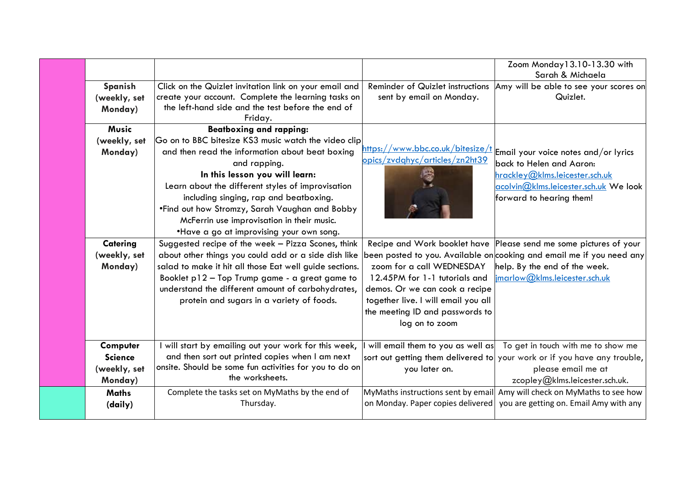|                |                                                                                             |                                     | Zoom Monday 13.10-13.30 with                                               |
|----------------|---------------------------------------------------------------------------------------------|-------------------------------------|----------------------------------------------------------------------------|
| Spanish        | Click on the Quizlet invitation link on your email and                                      | Reminder of Quizlet instructions    | Sarah & Michaela<br>Amy will be able to see your scores on                 |
| (weekly, set   | create your account. Complete the learning tasks on                                         | sent by email on Monday.            | Quizlet.                                                                   |
| Monday)        | the left-hand side and the test before the end of                                           |                                     |                                                                            |
|                | Friday.                                                                                     |                                     |                                                                            |
| <b>Music</b>   | <b>Beatboxing and rapping:</b>                                                              |                                     |                                                                            |
| (weekly, set   | Go on to BBC bitesize KS3 music watch the video clip                                        |                                     |                                                                            |
| Monday)        | and then read the information about beat boxing                                             | opics/zvdghyc/articles/zn2ht39      | https://www.bbc.co.uk/bitesize/t Email your voice notes and/or lyrics      |
|                | and rapping.                                                                                |                                     | back to Helen and Aaron:                                                   |
|                | In this lesson you will learn:                                                              |                                     | hrackley@klms.leicester.sch.uk                                             |
|                | Learn about the different styles of improvisation<br>including singing, rap and beatboxing. |                                     | acolvin@klms.leicester.sch.uk We look<br>forward to hearing them!          |
|                | .Find out how Stromzy, Sarah Vaughan and Bobby                                              |                                     |                                                                            |
|                | McFerrin use improvisation in their music.                                                  |                                     |                                                                            |
|                | .Have a go at improvising your own song.                                                    |                                     |                                                                            |
| Catering       | Suggested recipe of the week - Pizza Scones, think                                          | Recipe and Work booklet have        | Please send me some pictures of your                                       |
| (weekly, set   | about other things you could add or a side dish like                                        |                                     | been posted to you. Available on cooking and email me if you need any      |
| Monday)        | salad to make it hit all those Eat well guide sections.                                     | zoom for a call WEDNESDAY           | help. By the end of the week.                                              |
|                | Booklet p12 - Top Trump game - a great game to                                              | 12.45PM for 1-1 tutorials and       | jmarlow@klms.leicester.sch.uk                                              |
|                | understand the different amount of carbohydrates,                                           | demos. Or we can cook a recipe      |                                                                            |
|                | protein and sugars in a variety of foods.                                                   | together live. I will email you all |                                                                            |
|                |                                                                                             | the meeting ID and passwords to     |                                                                            |
|                |                                                                                             | log on to zoom                      |                                                                            |
| Computer       | will start by emailing out your work for this week,                                         |                                     | will email them to you as well as To get in touch with me to show me       |
| <b>Science</b> | and then sort out printed copies when I am next                                             |                                     | sort out getting them delivered to your work or if you have any trouble,   |
| (weekly, set   | onsite. Should be some fun activities for you to do on                                      | you later on.                       | please email me at                                                         |
| Monday)        | the worksheets.                                                                             |                                     | zcopley@klms.leicester.sch.uk.                                             |
| <b>Maths</b>   | Complete the tasks set on MyMaths by the end of                                             |                                     | MyMaths instructions sent by email Amy will check on MyMaths to see how    |
| (daily)        | Thursday.                                                                                   |                                     | on Monday. Paper copies delivered   you are getting on. Email Amy with any |
|                |                                                                                             |                                     |                                                                            |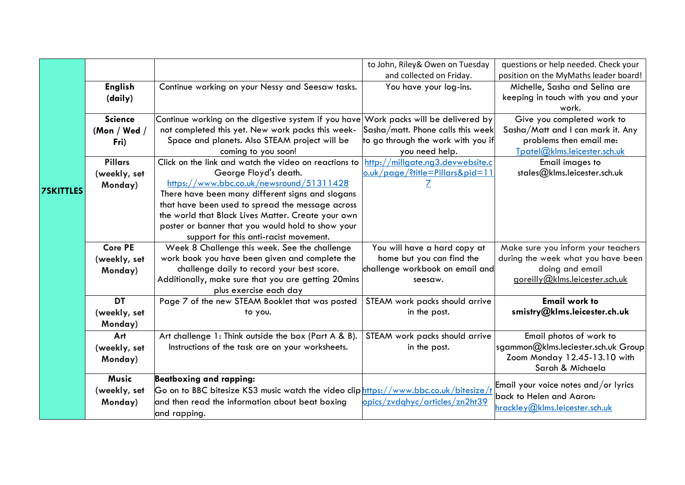| and collected on Friday.<br>position on the MyMaths leader board!                                                                                                        |  |
|--------------------------------------------------------------------------------------------------------------------------------------------------------------------------|--|
|                                                                                                                                                                          |  |
| <b>English</b><br>Michelle, Sasha and Selina are<br>Continue working on your Nessy and Seesaw tasks.<br>You have your log-ins.                                           |  |
| keeping in touch with you and your<br>(daily)                                                                                                                            |  |
| work.                                                                                                                                                                    |  |
| <b>Science</b><br>Continue working on the digestive system if you have Work packs will be delivered by<br>Give you completed work to                                     |  |
| Sasha/matt. Phone calls this week<br>Sasha/Matt and I can mark it. Any<br>not completed this yet. New work packs this week-<br>(Mon / Wed /                              |  |
| Space and planets. Also STEAM project will be<br>to go through the work with you if<br>problems then email me:<br>Fri)                                                   |  |
| Tpatel@klms.leicester.sch.uk<br>you need help.<br>coming to you soon!                                                                                                    |  |
| Click on the link and watch the video on reactions to $\frac{http://millgate.org3.devwebsite.c}{http://millgate.org3.devwebsite.c}$<br><b>Pillars</b><br>Email images to |  |
| o.uk/page/?title=Pillars&pid=11<br>stales@klms.leicester.sch.uk<br>George Floyd's death.<br>(weekly, set                                                                 |  |
| https://www.bbc.co.uk/newsround/51311428<br>Monday)<br><b>7SKITTLES</b>                                                                                                  |  |
| There have been many different signs and slogans                                                                                                                         |  |
| that have been used to spread the message across                                                                                                                         |  |
| the world that Black Lives Matter. Create your own                                                                                                                       |  |
| poster or banner that you would hold to show your                                                                                                                        |  |
| support for this anti-racist movement.                                                                                                                                   |  |
| <b>Core PE</b><br>Week 8 Challenge this week. See the challenge<br>You will have a hard copy at<br>Make sure you inform your teachers                                    |  |
| work book you have been given and complete the<br>during the week what you have been<br>home but you can find the<br>(weekly, set                                        |  |
| doing and email<br>challenge daily to record your best score.<br>challenge workbook on email and<br>Monday)                                                              |  |
| goreilly@klms.leicester.sch.uk<br>Additionally, make sure that you are getting 20mins<br>seesaw.<br>plus exercise each day                                               |  |
| <b>Email work to</b><br><b>DT</b><br>Page 7 of the new STEAM Booklet that was posted<br>STEAM work packs should arrive                                                   |  |
| smistry@klms.leicester.ch.uk<br>in the post.<br>(weekly, set<br>to you.                                                                                                  |  |
| Monday)                                                                                                                                                                  |  |
| <b>Art</b><br>Art challenge 1: Think outside the box (Part A & B).<br>STEAM work packs should arrive<br>Email photos of work to                                          |  |
| Instructions of the task are on your worksheets.<br>sgammon@klms.leciester.sch.uk Group<br>in the post.<br>(weekly, set                                                  |  |
| Zoom Monday 12.45-13.10 with                                                                                                                                             |  |
| Monday)<br>Sarah & Michaela                                                                                                                                              |  |
| <b>Music</b><br><b>Beatboxing and rapping:</b>                                                                                                                           |  |
| Email your voice notes and/or lyrics<br>(weekly, set<br>Go on to BBC bitesize KS3 music watch the video clip https://www.bbc.co.uk/bitesize/t                            |  |
| back to Helen and Aaron:<br>opics/zvdghyc/articles/zn2ht39<br>and then read the information about beat boxing<br>Monday)                                                 |  |
| hrackley@klms.leicester.sch.uk<br>and rapping.                                                                                                                           |  |